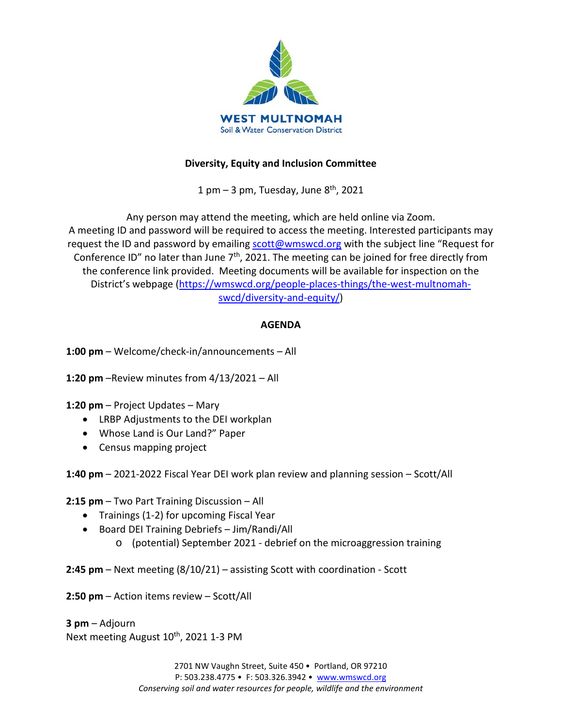

# **Diversity, Equity and Inclusion Committee**

1 pm  $-$  3 pm, Tuesday, June  $8<sup>th</sup>$ , 2021

Any person may attend the meeting, which are held online via Zoom. A meeting ID and password will be required to access the meeting. Interested participants may request the ID and password by emailing [scott@wmswcd.org](mailto:scott@wmswcd.org) with the subject line "Request for Conference ID" no later than June 7<sup>th</sup>, 2021. The meeting can be joined for free directly from the conference link provided. Meeting documents will be available for inspection on the District's webpage [\(https://wmswcd.org/people-places-things/the-west-multnomah](https://wmswcd.org/people-places-things/the-west-multnomah-swcd/diversity-and-equity/)[swcd/diversity-and-equity/\)](https://wmswcd.org/people-places-things/the-west-multnomah-swcd/diversity-and-equity/)

# **AGENDA**

**1:00 pm** – Welcome/check-in/announcements – All

**1:20 pm** –Review minutes from 4/13/2021 – All

**1:20 pm** – Project Updates – Mary

- LRBP Adjustments to the DEI workplan
- Whose Land is Our Land?" Paper
- Census mapping project

**1:40 pm** – 2021-2022 Fiscal Year DEI work plan review and planning session – Scott/All

**2:15 pm** – Two Part Training Discussion – All

- Trainings (1-2) for upcoming Fiscal Year
- Board DEI Training Debriefs Jim/Randi/All
	- o (potential) September 2021 debrief on the microaggression training

**2:45 pm** – Next meeting (8/10/21) – assisting Scott with coordination - Scott

**2:50 pm** – Action items review – Scott/All

**3 pm** – Adjourn Next meeting August 10<sup>th</sup>, 2021 1-3 PM

> 2701 NW Vaughn Street, Suite 450 • Portland, OR 97210 P: 503.238.4775 • F: 503.326.3942 • [www.wmswcd.org](http://www.wmswcd.org/) *Conserving soil and water resources for people, wildlife and the environment*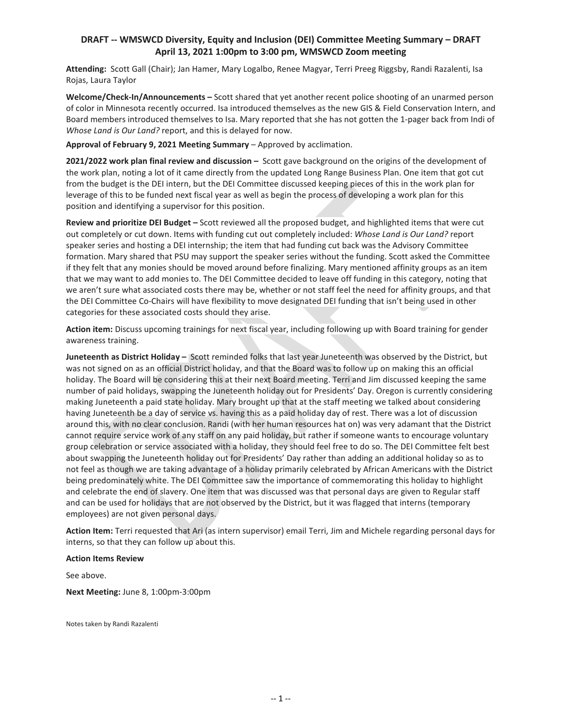#### **DRAFT -- WMSWCD Diversity, Equity and Inclusion (DEI) Committee Meeting Summary – DRAFT April 13, 2021 1:00pm to 3:00 pm, WMSWCD Zoom meeting**

**Attending:** Scott Gall (Chair); Jan Hamer, Mary Logalbo, Renee Magyar, Terri Preeg Riggsby, Randi Razalenti, Isa Rojas, Laura Taylor

**Welcome/Check-In/Announcements –** Scott shared that yet another recent police shooting of an unarmed person of color in Minnesota recently occurred. Isa introduced themselves as the new GIS & Field Conservation Intern, and Board members introduced themselves to Isa. Mary reported that she has not gotten the 1-pager back from Indi of *Whose Land is Our Land?* report, and this is delayed for now.

**Approval of February 9, 2021 Meeting Summary** – Approved by acclimation.

**2021/2022 work plan final review and discussion –** Scott gave background on the origins of the development of the work plan, noting a lot of it came directly from the updated Long Range Business Plan. One item that got cut from the budget is the DEI intern, but the DEI Committee discussed keeping pieces of this in the work plan for leverage of this to be funded next fiscal year as well as begin the process of developing a work plan for this position and identifying a supervisor for this position.

**Review and prioritize DEI Budget –** Scott reviewed all the proposed budget, and highlighted items that were cut out completely or cut down. Items with funding cut out completely included: *Whose Land is Our Land?* report speaker series and hosting a DEI internship; the item that had funding cut back was the Advisory Committee formation. Mary shared that PSU may support the speaker series without the funding. Scott asked the Committee if they felt that any monies should be moved around before finalizing. Mary mentioned affinity groups as an item that we may want to add monies to. The DEI Committee decided to leave off funding in this category, noting that we aren't sure what associated costs there may be, whether or not staff feel the need for affinity groups, and that the DEI Committee Co-Chairs will have flexibility to move designated DEI funding that isn't being used in other categories for these associated costs should they arise.

**Action item:** Discuss upcoming trainings for next fiscal year, including following up with Board training for gender awareness training.

**Juneteenth as District Holiday –** Scott reminded folks that last year Juneteenth was observed by the District, but was not signed on as an official District holiday, and that the Board was to follow up on making this an official holiday. The Board will be considering this at their next Board meeting. Terri and Jim discussed keeping the same number of paid holidays, swapping the Juneteenth holiday out for Presidents' Day. Oregon is currently considering making Juneteenth a paid state holiday. Mary brought up that at the staff meeting we talked about considering having Juneteenth be a day of service vs. having this as a paid holiday day of rest. There was a lot of discussion around this, with no clear conclusion. Randi (with her human resources hat on) was very adamant that the District cannot require service work of any staff on any paid holiday, but rather if someone wants to encourage voluntary group celebration or service associated with a holiday, they should feel free to do so. The DEI Committee felt best about swapping the Juneteenth holiday out for Presidents' Day rather than adding an additional holiday so as to not feel as though we are taking advantage of a holiday primarily celebrated by African Americans with the District being predominately white. The DEI Committee saw the importance of commemorating this holiday to highlight and celebrate the end of slavery. One item that was discussed was that personal days are given to Regular staff and can be used for holidays that are not observed by the District, but it was flagged that interns (temporary employees) are not given personal days.

**Action Item:** Terri requested that Ari (as intern supervisor) email Terri, Jim and Michele regarding personal days for interns, so that they can follow up about this.

#### **Action Items Review**

See above.

**Next Meeting:** June 8, 1:00pm-3:00pm

Notes taken by Randi Razalenti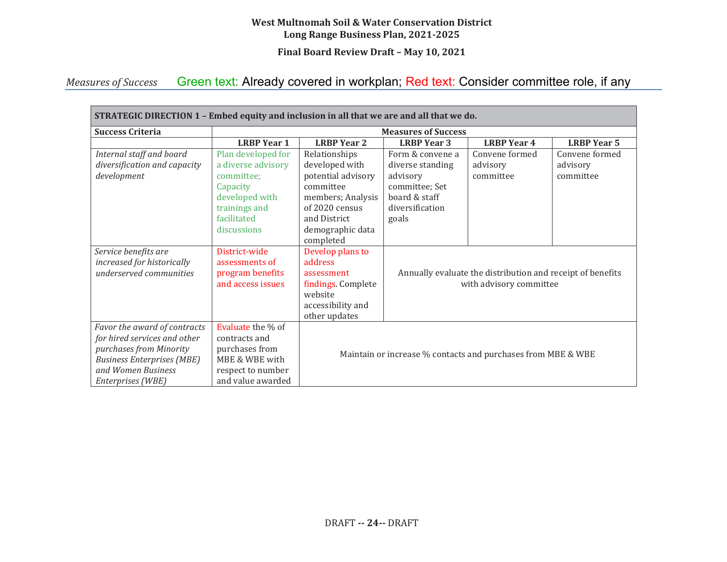#### **West Multnomah Soil & Water Conservation District Long Range Business Plan, 2021-2025**

**Final Board Review Draft – May 10, 2021** 

#### *Measures of Success*  Green text: Already covered in workplan; Red text: Consider committee role, if any

| STRATEGIC DIRECTION 1 - Embed equity and inclusion in all that we are and all that we do.                                                                               |                                                                                                                                     |                                                                                                                                                            |                                                                                                                 |                                         |                                         |  |  |
|-------------------------------------------------------------------------------------------------------------------------------------------------------------------------|-------------------------------------------------------------------------------------------------------------------------------------|------------------------------------------------------------------------------------------------------------------------------------------------------------|-----------------------------------------------------------------------------------------------------------------|-----------------------------------------|-----------------------------------------|--|--|
| <b>Success Criteria</b>                                                                                                                                                 | <b>Measures of Success</b>                                                                                                          |                                                                                                                                                            |                                                                                                                 |                                         |                                         |  |  |
|                                                                                                                                                                         | <b>LRBP</b> Year 1                                                                                                                  | <b>LRBP Year 2</b>                                                                                                                                         | <b>LRBP</b> Year 3                                                                                              | <b>LRBP Year 4</b>                      | <b>LRBP Year 5</b>                      |  |  |
| Internal staff and board<br>diversification and capacity<br>development                                                                                                 | Plan developed for<br>a diverse advisory<br>committee;<br>Capacity<br>developed with<br>trainings and<br>facilitated<br>discussions | Relationships<br>developed with<br>potential advisory<br>committee<br>members; Analysis<br>of 2020 census<br>and District<br>demographic data<br>completed | Form & convene a<br>diverse standing<br>advisory<br>committee; Set<br>board & staff<br>diversification<br>goals | Convene formed<br>advisory<br>committee | Convene formed<br>advisory<br>committee |  |  |
| Service benefits are<br>increased for historically<br>underserved communities                                                                                           | District-wide<br>assessments of<br>program benefits<br>and access issues                                                            | Develop plans to<br>address<br>assessment<br>findings. Complete<br>website<br>accessibility and<br>other updates                                           | Annually evaluate the distribution and receipt of benefits<br>with advisory committee                           |                                         |                                         |  |  |
| Favor the award of contracts<br>for hired services and other<br>purchases from Minority<br><b>Business Enterprises (MBE)</b><br>and Women Business<br>Enterprises (WBE) | Evaluate the % of<br>contracts and<br>purchases from<br>MBE & WBE with<br>respect to number<br>and value awarded                    | Maintain or increase % contacts and purchases from MBE & WBE                                                                                               |                                                                                                                 |                                         |                                         |  |  |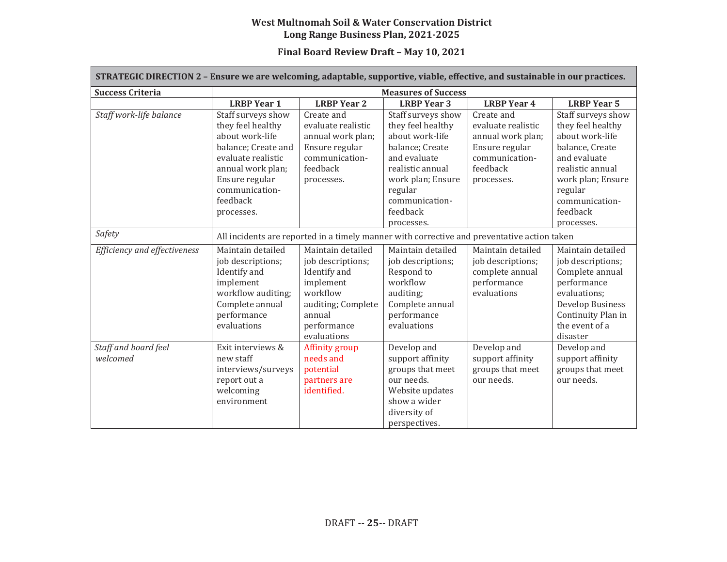#### **West Multnomah Soil & Water Conservation District Long Range Business Plan, 2021-2025**

## **Final Board Review Draft – May 10, 2021**

| STRATEGIC DIRECTION 2 - Ensure we are welcoming, adaptable, supportive, viable, effective, and sustainable in our practices. |                                                                                                                                                                                            |                                                                                                                                               |                                                                                                                                                                                               |                                                                                                                     |                                                                                                                                                                                               |  |  |
|------------------------------------------------------------------------------------------------------------------------------|--------------------------------------------------------------------------------------------------------------------------------------------------------------------------------------------|-----------------------------------------------------------------------------------------------------------------------------------------------|-----------------------------------------------------------------------------------------------------------------------------------------------------------------------------------------------|---------------------------------------------------------------------------------------------------------------------|-----------------------------------------------------------------------------------------------------------------------------------------------------------------------------------------------|--|--|
| <b>Success Criteria</b>                                                                                                      | <b>Measures of Success</b>                                                                                                                                                                 |                                                                                                                                               |                                                                                                                                                                                               |                                                                                                                     |                                                                                                                                                                                               |  |  |
|                                                                                                                              | <b>LRBP Year 1</b>                                                                                                                                                                         | <b>LRBP Year 2</b>                                                                                                                            | <b>LRBP</b> Year 3                                                                                                                                                                            | <b>LRBP Year 4</b>                                                                                                  | <b>LRBP Year 5</b>                                                                                                                                                                            |  |  |
| Staff work-life balance                                                                                                      | Staff surveys show<br>they feel healthy<br>about work-life<br>balance; Create and<br>evaluate realistic<br>annual work plan;<br>Ensure regular<br>communication-<br>feedback<br>processes. | Create and<br>evaluate realistic<br>annual work plan;<br>Ensure regular<br>communication-<br>feedback<br>processes.                           | Staff surveys show<br>they feel healthy<br>about work-life<br>balance; Create<br>and evaluate<br>realistic annual<br>work plan; Ensure<br>regular<br>communication-<br>feedback<br>processes. | Create and<br>evaluate realistic<br>annual work plan;<br>Ensure regular<br>communication-<br>feedback<br>processes. | Staff surveys show<br>they feel healthy<br>about work-life<br>balance, Create<br>and evaluate<br>realistic annual<br>work plan; Ensure<br>regular<br>communication-<br>feedback<br>processes. |  |  |
| Safety                                                                                                                       | All incidents are reported in a timely manner with corrective and preventative action taken                                                                                                |                                                                                                                                               |                                                                                                                                                                                               |                                                                                                                     |                                                                                                                                                                                               |  |  |
| Efficiency and effectiveness                                                                                                 | Maintain detailed<br>job descriptions;<br>Identify and<br>implement<br>workflow auditing;<br>Complete annual<br>performance<br>evaluations                                                 | Maintain detailed<br>job descriptions;<br>Identify and<br>implement<br>workflow<br>auditing; Complete<br>annual<br>performance<br>evaluations | Maintain detailed<br>job descriptions;<br>Respond to<br>workflow<br>auditing;<br>Complete annual<br>performance<br>evaluations                                                                | Maintain detailed<br>job descriptions;<br>complete annual<br>performance<br>evaluations                             | Maintain detailed<br>job descriptions;<br>Complete annual<br>performance<br>evaluations:<br><b>Develop Business</b><br>Continuity Plan in<br>the event of a<br>disaster                       |  |  |
| Staff and board feel<br>welcomed                                                                                             | Exit interviews &<br>new staff<br>interviews/surveys<br>report out a<br>welcoming<br>environment                                                                                           | Affinity group<br>needs and<br>potential<br>partners are<br>identified.                                                                       | Develop and<br>support affinity<br>groups that meet<br>our needs.<br>Website updates<br>show a wider<br>diversity of<br>perspectives.                                                         | Develop and<br>support affinity<br>groups that meet<br>our needs.                                                   | Develop and<br>support affinity<br>groups that meet<br>our needs.                                                                                                                             |  |  |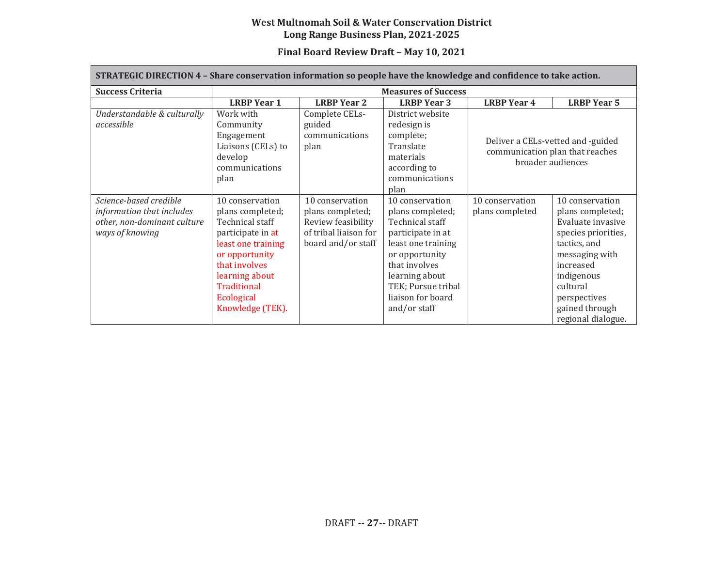#### **West Multnomah Soil & Water Conservation District Long Range Business Plan, 2021-2025**

## **Final Board Review Draft – May 10, 2021**

| STRATEGIC DIRECTION 4 - Share conservation information so people have the knowledge and confidence to take action. |                                                                                                                                                                                                         |                                                                                                          |                                                                                                                                                                                                                   |                                                                                           |                                                                                                                                                                                                                  |  |  |
|--------------------------------------------------------------------------------------------------------------------|---------------------------------------------------------------------------------------------------------------------------------------------------------------------------------------------------------|----------------------------------------------------------------------------------------------------------|-------------------------------------------------------------------------------------------------------------------------------------------------------------------------------------------------------------------|-------------------------------------------------------------------------------------------|------------------------------------------------------------------------------------------------------------------------------------------------------------------------------------------------------------------|--|--|
| <b>Success Criteria</b>                                                                                            | <b>Measures of Success</b>                                                                                                                                                                              |                                                                                                          |                                                                                                                                                                                                                   |                                                                                           |                                                                                                                                                                                                                  |  |  |
|                                                                                                                    | <b>LRBP</b> Year 1                                                                                                                                                                                      | <b>LRBP Year 2</b>                                                                                       | <b>LRBP</b> Year 3                                                                                                                                                                                                | <b>LRBP Year 4</b>                                                                        | <b>LRBP Year 5</b>                                                                                                                                                                                               |  |  |
| Understandable & culturally<br>accessible                                                                          | Work with<br>Community<br>Engagement<br>Liaisons (CELs) to<br>develop<br>communications<br>plan                                                                                                         | Complete CELs-<br>guided<br>communications<br>plan                                                       | District website<br>redesign is<br>complete;<br>Translate<br>materials<br>according to<br>communications<br>plan                                                                                                  | Deliver a CELs-vetted and -guided<br>communication plan that reaches<br>broader audiences |                                                                                                                                                                                                                  |  |  |
| Science-based credible<br>information that includes<br>other, non-dominant culture<br>ways of knowing              | 10 conservation<br>plans completed;<br>Technical staff<br>participate in at<br>least one training<br>or opportunity<br>that involves<br>learning about<br>Traditional<br>Ecological<br>Knowledge (TEK). | 10 conservation<br>plans completed;<br>Review feasibility<br>of tribal liaison for<br>board and/or staff | 10 conservation<br>plans completed;<br>Technical staff<br>participate in at<br>least one training<br>or opportunity<br>that involves<br>learning about<br>TEK; Pursue tribal<br>liaison for board<br>and/or staff | 10 conservation<br>plans completed                                                        | 10 conservation<br>plans completed;<br>Evaluate invasive<br>species priorities,<br>tactics, and<br>messaging with<br>increased<br>indigenous<br>cultural<br>perspectives<br>gained through<br>regional dialogue. |  |  |